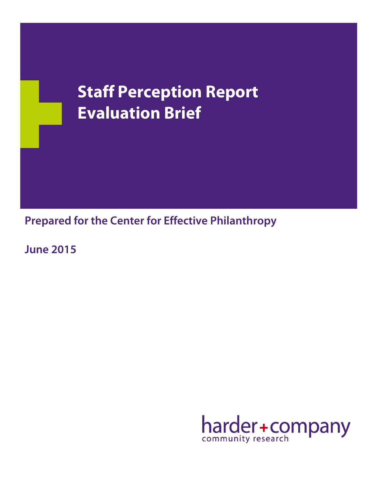# **Staff Perception Report Evaluation Brief**

**Prepared for the Center for Effective Philanthropy**

**June 2015**

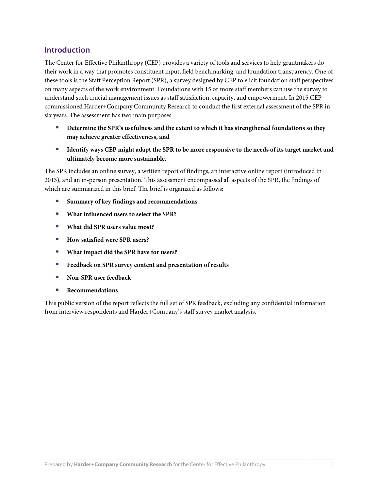## **Introduction**

The Center for Effective Philanthropy (CEP) provides a variety of tools and services to help grantmakers do their work in a way that promotes constituent input, field benchmarking, and foundation transparency. One of these tools is the Staff Perception Report (SPR), a survey designed by CEP to elicit foundation staff perspectives on many aspects of the work environment. Foundations with 15 or more staff members can use the survey to understand such crucial management issues as staff satisfaction, capacity, and empowerment. In 2015 CEP commissioned Harder+Company Community Research to conduct the first external assessment of the SPR in six years. The assessment has two main purposes:

- **Determine the SPR's usefulness and the extent to which it has strengthened foundations so they may achieve greater effectiveness, and**
- **IDENTIFY 1** Identify ways CEP might adapt the SPR to be more responsive to the needs of its target market and **ultimately become more sustainable.**

The SPR includes an online survey, a written report of findings, an interactive online report (introduced in 2013), and an in-person presentation. This assessment encompassed all aspects of the SPR, the findings of which are summarized in this brief. The brief is organized as follows:

- **Summary of key findings and recommendations**
- **What influenced users to select the SPR?**
- **What did SPR users value most?**
- How satisfied were SPR users?
- **What impact did the SPR have for users?**
- **Feedback on SPR survey content and presentation of results**
- **Non-SPR** user feedback
- **Recommendations**

This public version of the report reflects the full set of SPR feedback, excluding any confidential information from interview respondents and Harder+Company's staff survey market analysis.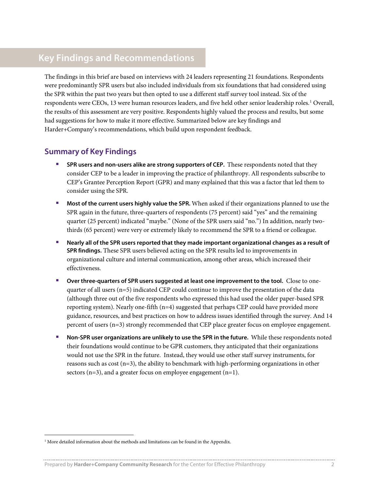# **Key Findings and Recommendations**

The findings in this brief are based on interviews with 24 leaders representing 21 foundations. Respondents were predominantly SPR users but also included individuals from six foundations that had considered using the SPR within the past two years but then opted to use a different staff survey tool instead. Six of the respondents were CEOs, [1](#page-2-0)3 were human resources leaders, and five held other senior leadership roles.<sup>1</sup> Overall, the results of this assessment are very positive. Respondents highly valued the process and results, but some had suggestions for how to make it more effective. Summarized below are key findings and Harder+Company's recommendations, which build upon respondent feedback.

## **Summary of Key Findings**

- **SPR users and non-users alike are strong supporters of CEP.** These respondents noted that they consider CEP to be a leader in improving the practice of philanthropy. All respondents subscribe to CEP's Grantee Perception Report (GPR) and many explained that this was a factor that led them to consider using the SPR.
- **Most of the current users highly value the SPR.** When asked if their organizations planned to use the SPR again in the future, three-quarters of respondents (75 percent) said "yes" and the remaining quarter (25 percent) indicated "maybe." (None of the SPR users said "no.") In addition, nearly twothirds (65 percent) were very or extremely likely to recommend the SPR to a friend or colleague.
- **Nearly all of the SPR users reported that they made important organizational changes as a result of SPR findings.** These SPR users believed acting on the SPR results led to improvements in organizational culture and internal communication, among other areas, which increased their effectiveness.
- **Over three-quarters of SPR users suggested at least one improvement to the tool.** Close to onequarter of all users  $(n=5)$  indicated CEP could continue to improve the presentation of the data (although three out of the five respondents who expressed this had used the older paper-based SPR reporting system). Nearly one-fifth (n=4) suggested that perhaps CEP could have provided more guidance, resources, and best practices on how to address issues identified through the survey. And 14 percent of users (n=3) strongly recommended that CEP place greater focus on employee engagement.
- **Non-SPR user organizations are unlikely to use the SPR in the future.** While these respondents noted their foundations would continue to be GPR customers, they anticipated that their organizations would not use the SPR in the future.Instead, they would use other staff survey instruments, for reasons such as cost  $(n=3)$ , the ability to benchmark with high-performing organizations in other sectors  $(n=3)$ , and a greater focus on employee engagement  $(n=1)$ .

<span id="page-2-0"></span><sup>&</sup>lt;sup>1</sup> More detailed information about the methods and limitations can be found in the Appendix.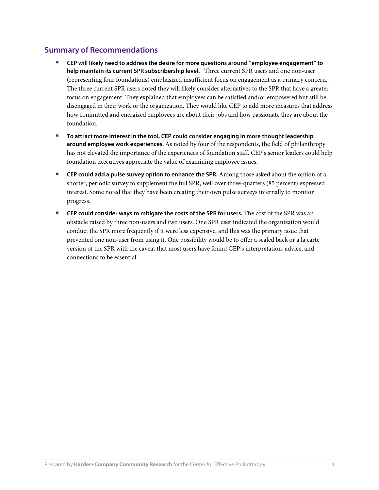## **Summary of Recommendations**

- **CEP will likely need to address the desire for more questions around "employee engagement" to help maintain its current SPR subscribership level.** Three current SPR users and one non-user (representing four foundations) emphasized insufficient focus on engagement as a primary concern. The three current SPR users noted they will likely consider alternatives to the SPR that have a greater focus on engagement. They explained that employees can be satisfied and/or empowered but still be disengaged in their work or the organization. They would like CEP to add more measures that address how committed and energized employees are about their jobs and how passionate they are about the foundation.
- **To attract more interest in the tool, CEP could consider engaging in more thought leadership around employee work experiences.** As noted by four of the respondents, the field of philanthropy has not elevated the importance of the experiences of foundation staff. CEP's senior leaders could help foundation executives appreciate the value of examining employee issues.
- **CEP could add a pulse survey option to enhance the SPR.** Among those asked about the option of a shorter, periodic survey to supplement the full SPR, well over three-quarters (85 percent) expressed interest. Some noted that they have been creating their own pulse surveys internally to monitor progress.
- **CEP could consider ways to mitigate the costs of the SPR for users.** The cost of the SPR was an obstacle raised by three non-users and two users. One SPR user indicated the organization would conduct the SPR more frequently if it were less expensive, and this was the primary issue that prevented one non-user from using it. One possibility would be to offer a scaled back or a la carte version of the SPR with the caveat that most users have found CEP's interpretation, advice, and connections to be essential.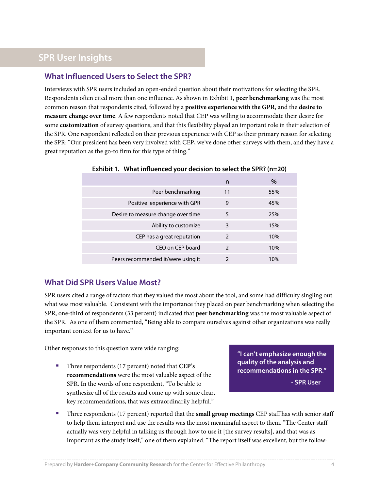# **SPR User Insights**

## **What Influenced Users to Select the SPR?**

Interviews with SPR users included an open-ended question about their motivations for selecting the SPR. Respondents often cited more than one influence. As shown in Exhibit 1, **peer benchmarking** was the most common reason that respondents cited, followed by a **positive experience with the GPR**, and the **desire to measure change over time**. A few respondents noted that CEP was willing to accommodate their desire for some **customization** of survey questions, and that this flexibility played an important role in their selection of the SPR. One respondent reflected on their previous experience with CEP as their primary reason for selecting the SPR: "Our president has been very involved with CEP, we've done other surveys with them, and they have a great reputation as the go-to firm for this type of thing."

|                                    | n              | $\%$ |
|------------------------------------|----------------|------|
| Peer benchmarking                  | 11             | 55%  |
| Positive experience with GPR       | 9              | 45%  |
| Desire to measure change over time | 5              | 25%  |
| Ability to customize               | 3              | 15%  |
| CEP has a great reputation         | $\mathfrak{D}$ | 10%  |
| CEO on CEP board                   | $\mathcal{P}$  | 10%  |
| Peers recommended it/were using it | າ              | 10%  |

#### **Exhibit 1. What influenced your decision to select the SPR? (n=20)**

## **What Did SPR Users Value Most?**

SPR users cited a range of factors that they valued the most about the tool, and some had difficulty singling out what was most valuable. Consistent with the importance they placed on peer benchmarking when selecting the SPR, one-third of respondents (33 percent) indicated that **peer benchmarking** was the most valuable aspect of the SPR. As one of them commented, "Being able to compare ourselves against other organizations was really important context for us to have."

Other responses to this question were wide ranging:

 Three respondents (17 percent) noted that **CEP's recommendations** were the most valuable aspect of the SPR. In the words of one respondent, "To be able to synthesize all of the results and come up with some clear, key recommendations, that was extraordinarily helpful."

**"I can't emphasize enough the quality of the analysis and recommendations in the SPR."**

**- SPR User**

 Three respondents (17 percent) reported that the **small group meetings** CEP staff has with senior staff to help them interpret and use the results was the most meaningful aspect to them. "The Center staff actually was very helpful in talking us through how to use it [the survey results], and that was as important as the study itself," one of them explained. "The report itself was excellent, but the follow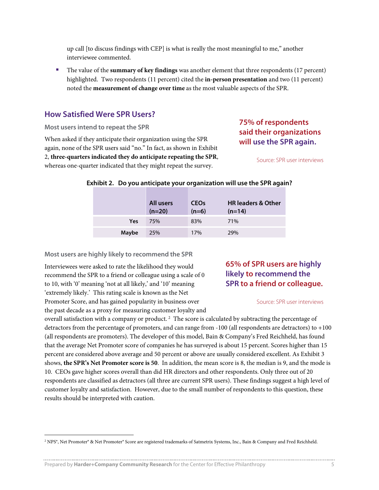up call [to discuss findings with CEP] is what is really the most meaningful to me," another interviewee commented.

 The value of the **summary of key findings** was another element that three respondents (17 percent) highlighted. Two respondents (11 percent) cited the **in-person presentation** and two (11 percent) noted the **measurement of change over time** as the most valuable aspects of the SPR.

### **How Satisfied Were SPR Users?**

**Most users intend to repeat the SPR** 

When asked if they anticipate their organization using the SPR again, none of the SPR users said "no." In fact, as shown in Exhibit 2, **three-quarters indicated they do anticipate repeating the SPR**, whereas one-quarter indicated that they might repeat the survey.

## **75% of respondents said their organizations will use the SPR again.**

Source: SPR user interviews

|  |  | Exhibit 2. Do you anticipate your organization will use the SPR again? |  |  |
|--|--|------------------------------------------------------------------------|--|--|
|--|--|------------------------------------------------------------------------|--|--|

|       | All users<br>$(n=20)$ | <b>CEO<sub>s</sub></b><br>$(n=6)$ | <b>HR leaders &amp; Other</b><br>$(n=14)$ |
|-------|-----------------------|-----------------------------------|-------------------------------------------|
| Yes   | 75%                   | 83%                               | 71%                                       |
| Maybe | 25%                   | 17%                               | 29%                                       |

**Most users are highly likely to recommend the SPR** 

Interviewees were asked to rate the likelihood they would recommend the SPR to a friend or colleague using a scale of 0 to 10, with '0' meaning 'not at all likely,' and '10' meaning 'extremely likely.' This rating scale is known as the Net Promoter Score, and has gained popularity in business over the past decade as a proxy for measuring customer loyalty and

## **65% of SPR users are highly likely to recommend the SPR to a friend or colleague.**

Source: SPR user interviews

overall satisfaction with a company or product.<sup>[2](#page-5-0)</sup> The score is calculated by subtracting the percentage of detractors from the percentage of promoters, and can range from -100 (all respondents are detractors) to +100 (all respondents are promoters). The developer of this model, Bain & Company's Fred Reichheld, has found that the average Net Promoter score of companies he has surveyed is about 15 percent. Scores higher than 15 percent are considered above average and 50 percent or above are usually considered excellent. As Exhibit 3 shows, **the SPR's Net Promoter score is 50**. In addition, the mean score is 8, the median is 9, and the mode is 10. CEOs gave higher scores overall than did HR directors and other respondents. Only three out of 20 respondents are classified as detractors (all three are current SPR users). These findings suggest a high level of customer loyalty and satisfaction. However, due to the small number of respondents to this question, these results should be interpreted with caution.

<span id="page-5-0"></span><sup>&</sup>lt;sup>2</sup> NPS®, Net Promoter® & Net Promoter® Score are registered trademarks of Satmetrix Systems, Inc., Bain & Company and Fred Reichheld.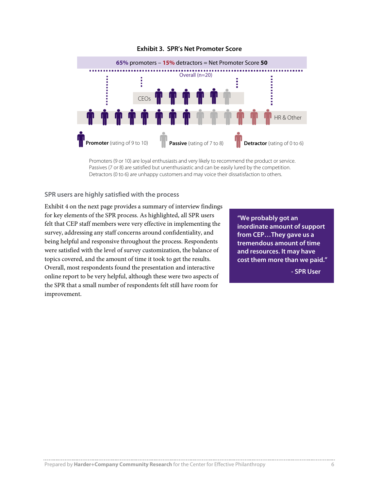

#### **Exhibit 3. SPR's Net Promoter Score**

Promoters (9 or 10) are loyal enthusiasts and very likely to recommend the product or service. Passives (7 or 8) are satisfied but unenthusiastic and can be easily lured by the competition. Detractors (0 to 6) are unhappy customers and may voice their dissatisfaction to others.

#### **SPR users are highly satisfied with the process**

Exhibit 4 on the next page provides a summary of interview findings for key elements of the SPR process. As highlighted, all SPR users felt that CEP staff members were very effective in implementing the survey, addressing any staff concerns around confidentiality, and being helpful and responsive throughout the process. Respondents were satisfied with the level of survey customization, the balance of topics covered, and the amount of time it took to get the results. Overall, most respondents found the presentation and interactive online report to be very helpful, although these were two aspects of the SPR that a small number of respondents felt still have room for improvement.

**"We probably got an inordinate amount of support from CEP…They gave us a tremendous amount of time and resources. It may have cost them more than we paid."**

**- SPR User**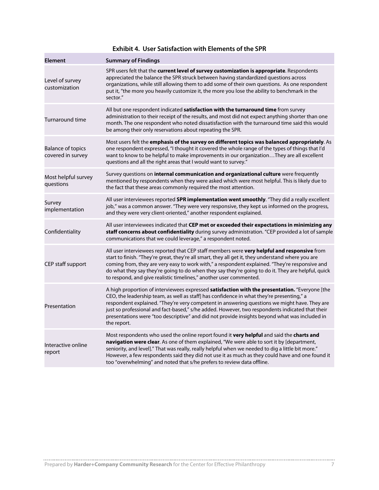| <b>Element</b>                                | <b>Summary of Findings</b>                                                                                                                                                                                                                                                                                                                                                                                                                                                                                     |
|-----------------------------------------------|----------------------------------------------------------------------------------------------------------------------------------------------------------------------------------------------------------------------------------------------------------------------------------------------------------------------------------------------------------------------------------------------------------------------------------------------------------------------------------------------------------------|
| Level of survey<br>customization              | SPR users felt that the current level of survey customization is appropriate. Respondents<br>appreciated the balance the SPR struck between having standardized questions across<br>organizations, while still allowing them to add some of their own questions. As one respondent<br>put it, "the more you heavily customize it, the more you lose the ability to benchmark in the<br>sector."                                                                                                                |
| <b>Turnaround time</b>                        | All but one respondent indicated satisfaction with the turnaround time from survey<br>administration to their receipt of the results, and most did not expect anything shorter than one<br>month. The one respondent who noted dissatisfaction with the turnaround time said this would<br>be among their only reservations about repeating the SPR.                                                                                                                                                           |
| <b>Balance of topics</b><br>covered in survey | Most users felt the <b>emphasis of the survey on different topics was balanced appropriately</b> . As<br>one respondent expressed, "I thought it covered the whole range of the types of things that I'd<br>want to know to be helpful to make improvements in our organizationThey are all excellent<br>questions and all the right areas that I would want to survey."                                                                                                                                       |
| Most helpful survey<br>questions              | Survey questions on <b>internal communication and organizational culture</b> were frequently<br>mentioned by respondents when they were asked which were most helpful. This is likely due to<br>the fact that these areas commonly required the most attention.                                                                                                                                                                                                                                                |
| Survey<br>implementation                      | All user interviewees reported SPR implementation went smoothly. "They did a really excellent<br>job," was a common answer. "They were very responsive, they kept us informed on the progress,<br>and they were very client-oriented," another respondent explained.                                                                                                                                                                                                                                           |
| Confidentiality                               | All user interviewees indicated that CEP met or exceeded their expectations in minimizing any<br>staff concerns about confidentiality during survey administration. "CEP provided a lot of sample<br>communications that we could leverage," a respondent noted.                                                                                                                                                                                                                                               |
| CEP staff support                             | All user interviewees reported that CEP staff members were very helpful and responsive from<br>start to finish. "They're great, they're all smart, they all get it, they understand where you are<br>coming from, they are very easy to work with," a respondent explained. "They're responsive and<br>do what they say they're going to do when they say they're going to do it. They are helpful, quick<br>to respond, and give realistic timelines," another user commented.                                |
| Presentation                                  | A high proportion of interviewees expressed satisfaction with the presentation. "Everyone [the<br>CEO, the leadership team, as well as staff] has confidence in what they're presenting," a<br>respondent explained. "They're very competent in answering questions we might have. They are<br>just so professional and fact-based," s/he added. However, two respondents indicated that their<br>presentations were "too descriptive" and did not provide insights beyond what was included in<br>the report. |
| Interactive online<br>report                  | Most respondents who used the online report found it very helpful and said the charts and<br>navigation were clear. As one of them explained, "We were able to sort it by [department,<br>seniority, and level]." That was really, really helpful when we needed to dig a little bit more."<br>However, a few respondents said they did not use it as much as they could have and one found it<br>too "overwhelming" and noted that s/he prefers to review data offline.                                       |

## **Exhibit 4. User Satisfaction with Elements of the SPR**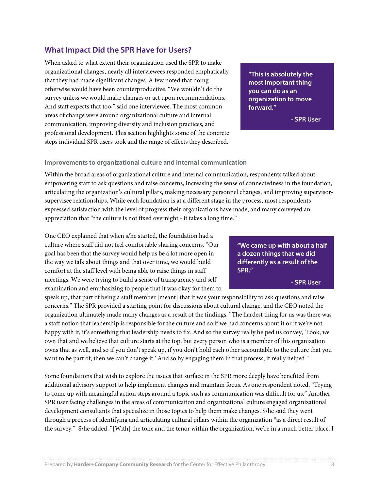## **What Impact Did the SPR Have for Users?**

When asked to what extent their organization used the SPR to make organizational changes, nearly all interviewees responded emphatically that they had made significant changes. A few noted that doing otherwise would have been counterproductive. "We wouldn't do the survey unless we would make changes or act upon recommendations. And staff expects that too," said one interviewee. The most common areas of change were around organizational culture and internal communication, improving diversity and inclusion practices, and professional development. This section highlights some of the concrete steps individual SPR users took and the range of effects they described.

#### **Improvements to organizational culture and internal communication**

Within the broad areas of organizational culture and internal communication, respondents talked about empowering staff to ask questions and raise concerns, increasing the sense of connectedness in the foundation, articulating the organization's cultural pillars, making necessary personnel changes, and improving supervisorsupervisee relationships. While each foundation is at a different stage in the process, most respondents expressed satisfaction with the level of progress their organizations have made, and many conveyed an appreciation that "the culture is not fixed overnight - it takes a long time."

One CEO explained that when s/he started, the foundation had a culture where staff did not feel comfortable sharing concerns. "Our goal has been that the survey would help us be a lot more open in the way we talk about things and that over time, we would build comfort at the staff level with being able to raise things in staff meetings. We were trying to build a sense of transparency and selfexamination and emphasizing to people that it was okay for them to

speak up, that part of being a staff member [meant] that it was your responsibility to ask questions and raise concerns." The SPR provided a starting point for discussions about cultural change, and the CEO noted the organization ultimately made many changes as a result of the findings. "The hardest thing for us was there was a staff notion that leadership is responsible for the culture and so if we had concerns about it or if we're not happy with it, it's something that leadership needs to fix. And so the survey really helped us convey, 'Look, we own that and we believe that culture starts at the top, but every person who is a member of this organization owns that as well, and so if you don't speak up, if you don't hold each other accountable to the culture that you want to be part of, then we can't change it.' And so by engaging them in that process, it really helped."

Some foundations that wish to explore the issues that surface in the SPR more deeply have benefited from additional advisory support to help implement changes and maintain focus. As one respondent noted, "Trying to come up with meaningful action steps around a topic such as communication was difficult for us." Another SPR user facing challenges in the areas of communication and organizational culture engaged organizational development consultants that specialize in those topics to help them make changes. S/he said they went through a process of identifying and articulating cultural pillars within the organization "as a direct result of the survey." S/he added, "[With] the tone and the tenor within the organization, we're in a much better place. I

**"We came up with about a half a dozen things that we did differently as a result of the SPR."**

**- SPR User**

**"This is absolutely the most important thing you can do as an organization to move forward."**

**- SPR User**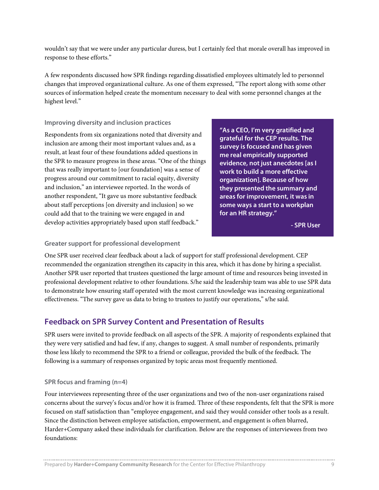wouldn't say that we were under any particular duress, but I certainly feel that morale overall has improved in response to these efforts."

A few respondents discussed how SPR findings regarding dissatisfied employees ultimately led to personnel changes that improved organizational culture. As one of them expressed, "The report along with some other sources of information helped create the momentum necessary to deal with some personnel changes at the highest level."

#### **Improving diversity and inclusion practices**

Respondents from six organizations noted that diversity and inclusion are among their most important values and, as a result, at least four of these foundations added questions in the SPR to measure progress in these areas. "One of the things that was really important to [our foundation] was a sense of progress around our commitment to racial equity, diversity and inclusion," an interviewee reported. In the words of another respondent, "It gave us more substantive feedback about staff perceptions [on diversity and inclusion] so we could add that to the training we were engaged in and develop activities appropriately based upon staff feedback."

**"As a CEO, I'm very gratified and grateful for the CEP results. The survey is focused and has given me real empirically supported evidence, not just anecdotes [as I work to build a more effective organization]. Because of how they presented the summary and areas for improvement, it was in some ways a start to a workplan for an HR strategy."**

**- SPR User**

#### **Greater support for professional development**

One SPR user received clear feedback about a lack of support for staff professional development. CEP recommended the organization strengthen its capacity in this area, which it has done by hiring a specialist. Another SPR user reported that trustees questioned the large amount of time and resources being invested in professional development relative to other foundations. S/he said the leadership team was able to use SPR data to demonstrate how ensuring staff operated with the most current knowledge was increasing organizational effectiveness. "The survey gave us data to bring to trustees to justify our operations," s/he said.

## **Feedback on SPR Survey Content and Presentation of Results**

SPR users were invited to provide feedback on all aspects of the SPR. A majority of respondents explained that they were very satisfied and had few, if any, changes to suggest. A small number of respondents, primarily those less likely to recommend the SPR to a friend or colleague, provided the bulk of the feedback. The following is a summary of responses organized by topic areas most frequently mentioned.

#### **SPR focus and framing (n=4)**

Four interviewees representing three of the user organizations and two of the non-user organizations raised concerns about the survey's focus and/or how it is framed. Three of these respondents, felt that the SPR is more focused on staff satisfaction than "employee engagement, and said they would consider other tools as a result. Since the distinction between employee satisfaction, empowerment, and engagement is often blurred, Harder+Company asked these individuals for clarification. Below are the responses of interviewees from two foundations: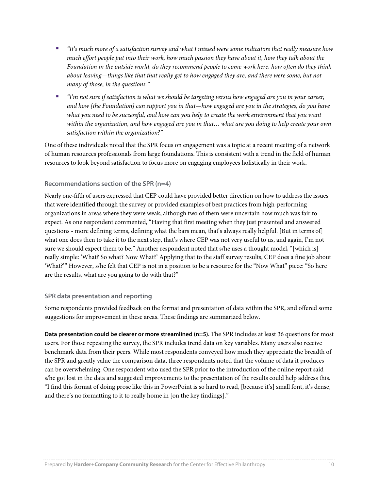- *"It's much more of a satisfaction survey and what I missed were some indicators that really measure how much effort people put into their work, how much passion they have about it, how they talk about the Foundation in the outside world, do they recommend people to come work here, how often do they think about leaving—things like that that really get to how engaged they are, and there were some, but not many of those, in the questions."*
- *"I'm not sure if satisfaction is what we should be targeting versus how engaged are you in your career, and how [the Foundation] can support you in that—how engaged are you in the strategies, do you have*  what you need to be successful, and how can you help to create the work environment that you want *within the organization, and how engaged are you in that… what are you doing to help create your own satisfaction within the organization?"*

One of these individuals noted that the SPR focus on engagement was a topic at a recent meeting of a network of human resources professionals from large foundations. This is consistent with a trend in the field of human resources to look beyond satisfaction to focus more on engaging employees holistically in their work.

#### **Recommendations section of the SPR (n=4)**

Nearly one-fifth of users expressed that CEP could have provided better direction on how to address the issues that were identified through the survey or provided examples of best practices from high-performing organizations in areas where they were weak, although two of them were uncertain how much was fair to expect. As one respondent commented, "Having that first meeting when they just presented and answered questions - more defining terms, defining what the bars mean, that's always really helpful. [But in terms of] what one does then to take it to the next step, that's where CEP was not very useful to us, and again, I'm not sure we should expect them to be." Another respondent noted that s/he uses a thought model, "[which is] really simple: 'What? So what? Now What?' Applying that to the staff survey results, CEP does a fine job about 'What?'" However, s/he felt that CEP is not in a position to be a resource for the "Now What" piece: "So here are the results, what are you going to do with that?"

#### **SPR data presentation and reporting**

Some respondents provided feedback on the format and presentation of data within the SPR, and offered some suggestions for improvement in these areas. These findings are summarized below.

**Data presentation could be clearer or more streamlined (n=5).** The SPR includes at least 36 questions for most users. For those repeating the survey, the SPR includes trend data on key variables. Many users also receive benchmark data from their peers. While most respondents conveyed how much they appreciate the breadth of the SPR and greatly value the comparison data, three respondents noted that the volume of data it produces can be overwhelming. One respondent who used the SPR prior to the introduction of the online report said s/he got lost in the data and suggested improvements to the presentation of the results could help address this. "I find this format of doing prose like this in PowerPoint is so hard to read, [because it's] small font, it's dense, and there's no formatting to it to really home in [on the key findings]."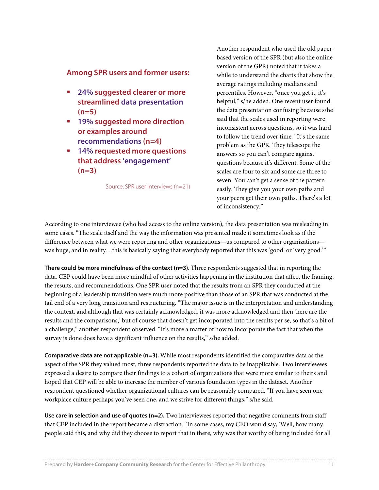### **Among SPR users and former users:**

- **24% suggested clearer or more streamlined data presentation (n=5)**
- **19% suggested more direction or examples around recommendations (n=4)**
- **14% requested more questions that address 'engagement' (n=3)**

Source: SPR user interviews (n=21)

Another respondent who used the old paperbased version of the SPR (but also the online version of the GPR) noted that it takes a while to understand the charts that show the average ratings including medians and percentiles. However, "once you get it, it's helpful," s/he added. One recent user found the data presentation confusing because s/he said that the scales used in reporting were inconsistent across questions, so it was hard to follow the trend over time. "It's the same problem as the GPR. They telescope the answers so you can't compare against questions because it's different. Some of the scales are four to six and some are three to seven. You can't get a sense of the pattern easily. They give you your own paths and your peers get their own paths. There's a lot of inconsistency."

According to one interviewee (who had access to the online version), the data presentation was misleading in some cases. "The scale itself and the way the information was presented made it sometimes look as if the difference between what we were reporting and other organizations—us compared to other organizations was huge, and in reality…this is basically saying that everybody reported that this was 'good' or 'very good.'"

**There could be more mindfulness of the context (n=3).** Three respondents suggested that in reporting the data, CEP could have been more mindful of other activities happening in the institution that affect the framing, the results, and recommendations. One SPR user noted that the results from an SPR they conducted at the beginning of a leadership transition were much more positive than those of an SPR that was conducted at the tail end of a very long transition and restructuring. "The major issue is in the interpretation and understanding the context, and although that was certainly acknowledged, it was more acknowledged and then 'here are the results and the comparisons,' but of course that doesn't get incorporated into the results per se, so that's a bit of a challenge," another respondent observed. "It's more a matter of how to incorporate the fact that when the survey is done does have a significant influence on the results," s/he added.

**Comparative data are not applicable (n=3).** While most respondents identified the comparative data as the aspect of the SPR they valued most, three respondents reported the data to be inapplicable. Two interviewees expressed a desire to compare their findings to a cohort of organizations that were more similar to theirs and hoped that CEP will be able to increase the number of various foundation types in the dataset. Another respondent questioned whether organizational cultures can be reasonably compared. "If you have seen one workplace culture perhaps you've seen one, and we strive for different things," s/he said.

**Use care in selection and use of quotes (n=2).** Two interviewees reported that negative comments from staff that CEP included in the report became a distraction. "In some cases, my CEO would say, 'Well, how many people said this, and why did they choose to report that in there, why was that worthy of being included for all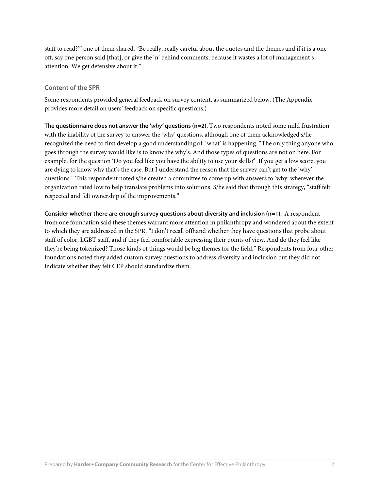staff to read?'" one of them shared. "Be really, really careful about the quotes and the themes and if it is a oneoff, say one person said [that], or give the 'n' behind comments, because it wastes a lot of management's attention. We get defensive about it."

#### **Content of the SPR**

Some respondents provided general feedback on survey content, as summarized below. (The Appendix provides more detail on users' feedback on specific questions.)

**The questionnaire does not answer the '***why'* **questions (n=2).** Two respondents noted some mild frustration with the inability of the survey to answer the 'why' questions, although one of them acknowledged s/he recognized the need to first develop a good understanding of 'what' is happening. "The only thing anyone who goes through the survey would like is to know the why's. And those types of questions are not on here. For example, for the question 'Do you feel like you have the ability to use your skills?' If you get a low score, you are dying to know why that's the case. But I understand the reason that the survey can't get to the 'why' questions." This respondent noted s/he created a committee to come up with answers to 'why' wherever the organization rated low to help translate problems into solutions. S/he said that through this strategy, "staff felt respected and felt ownership of the improvements."

**Consider whether there are enough survey questions about diversity and inclusion (n=1).** A respondent from one foundation said these themes warrant more attention in philanthropy and wondered about the extent to which they are addressed in the SPR. "I don't recall offhand whether they have questions that probe about staff of color, LGBT staff, and if they feel comfortable expressing their points of view. And do they feel like they're being tokenized? Those kinds of things would be big themes for the field." Respondents from four other foundations noted they added custom survey questions to address diversity and inclusion but they did not indicate whether they felt CEP should standardize them.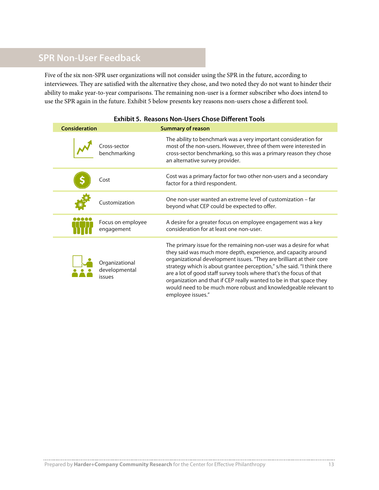# **SPR Non-User Feedback**

Five of the six non-SPR user organizations will not consider using the SPR in the future, according to interviewees. They are satisfied with the alternative they chose, and two noted they do not want to hinder their ability to make year-to-year comparisons. The remaining non-user is a former subscriber who does intend to use the SPR again in the future. Exhibit 5 below presents key reasons non-users chose a different tool.

| Consideration |                                                  | <b>Summary of reason</b>                                                                                                                                                                                                                                                                                                                                                                                                                                                                                                     |
|---------------|--------------------------------------------------|------------------------------------------------------------------------------------------------------------------------------------------------------------------------------------------------------------------------------------------------------------------------------------------------------------------------------------------------------------------------------------------------------------------------------------------------------------------------------------------------------------------------------|
|               | Cross-sector<br>benchmarking                     | The ability to benchmark was a very important consideration for<br>most of the non-users. However, three of them were interested in<br>cross-sector benchmarking, so this was a primary reason they chose<br>an alternative survey provider.                                                                                                                                                                                                                                                                                 |
|               | Cost                                             | Cost was a primary factor for two other non-users and a secondary<br>factor for a third respondent.                                                                                                                                                                                                                                                                                                                                                                                                                          |
|               | Customization                                    | One non-user wanted an extreme level of customization – far<br>beyond what CEP could be expected to offer.                                                                                                                                                                                                                                                                                                                                                                                                                   |
|               | Focus on employee<br>engagement                  | A desire for a greater focus on employee engagement was a key<br>consideration for at least one non-user.                                                                                                                                                                                                                                                                                                                                                                                                                    |
|               | Organizational<br>developmental<br><i>issues</i> | The primary issue for the remaining non-user was a desire for what<br>they said was much more depth, experience, and capacity around<br>organizational development issues. "They are brilliant at their core<br>strategy which is about grantee perception," s/he said. "I think there<br>are a lot of good staff survey tools where that's the focus of that<br>organization and that if CEP really wanted to be in that space they<br>would need to be much more robust and knowledgeable relevant to<br>employee issues." |

#### **Exhibit 5. Reasons Non-Users Chose Different Tools**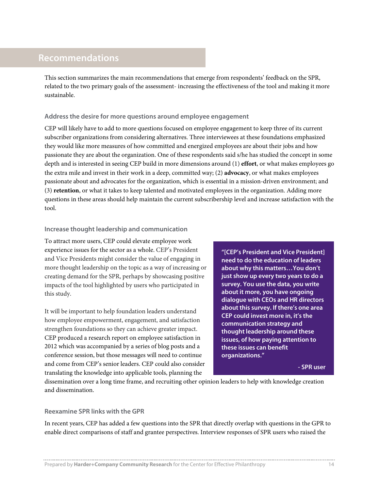## **Recommendations**

This section summarizes the main recommendations that emerge from respondents' feedback on the SPR, related to the two primary goals of the assessment- increasing the effectiveness of the tool and making it more sustainable.

#### **Address the desire for more questions around employee engagement**

CEP will likely have to add to more questions focused on employee engagement to keep three of its current subscriber organizations from considering alternatives. Three interviewees at these foundations emphasized they would like more measures of how committed and energized employees are about their jobs and how passionate they are about the organization. One of these respondents said s/he has studied the concept in some depth and is interested in seeing CEP build in more dimensions around (1) **effort**, or what makes employees go the extra mile and invest in their work in a deep, committed way; (2) **advocacy**, or what makes employees passionate about and advocates for the organization, which is essential in a mission-driven environment; and (3) **retention**, or what it takes to keep talented and motivated employees in the organization. Adding more questions in these areas should help maintain the current subscribership level and increase satisfaction with the tool.

#### **Increase thought leadership and communication**

To attract more users, CEP could elevate employee work experience issues for the sector as a whole. CEP's President and Vice Presidents might consider the value of engaging in more thought leadership on the topic as a way of increasing or creating demand for the SPR, perhaps by showcasing positive impacts of the tool highlighted by users who participated in this study.

It will be important to help foundation leaders understand how employee empowerment, engagement, and satisfaction strengthen foundations so they can achieve greater impact. CEP produced a research report on employee satisfaction in 2012 which was accompanied by a series of blog posts and a conference session, but those messages will need to continue and come from CEP's senior leaders. CEP could also consider translating the knowledge into applicable tools, planning the

**"[CEP's President and Vice President] need to do the education of leaders about why this matters…You don't just show up every two years to do a survey. You use the data, you write about it more, you have ongoing dialogue with CEOs and HR directors about this survey. If there's one area CEP could invest more in, it's the communication strategy and thought leadership around these issues, of how paying attention to these issues can benefit organizations."**

**- SPR user**

dissemination over a long time frame, and recruiting other opinion leaders to help with knowledge creation and dissemination.

#### **Reexamine SPR links with the GPR**

In recent years, CEP has added a few questions into the SPR that directly overlap with questions in the GPR to enable direct comparisons of staff and grantee perspectives. Interview responses of SPR users who raised the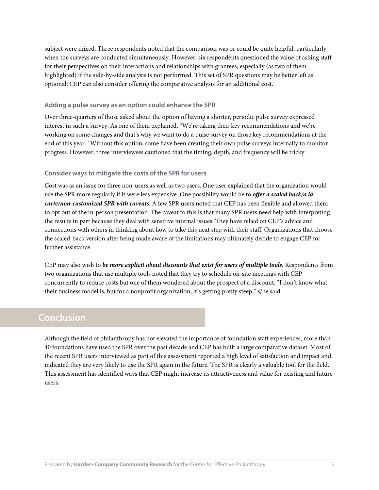subject were mixed. Three respondents noted that the comparison was or could be quite helpful, particularly when the surveys are conducted simultaneously. However, six respondents questioned the value of asking staff for their perspectives on their interactions and relationships with grantees, especially (as two of them highlighted) if the side-by-side analysis is not performed. This set of SPR questions may be better left as optional; CEP can also consider offering the comparative analysis for an additional cost.

#### **Adding a pulse survey as an option could enhance the SPR**

Over three-quarters of those asked about the option of having a shorter, periodic pulse survey expressed interest in such a survey. As one of them explained, "We're taking their key recommendations and we're working on some changes and that's why we want to do a pulse survey on those key recommendations at the end of this year." Without this option, some have been creating their own pulse surveys internally to monitor progress. However, three interviewees cautioned that the timing, depth, and frequency will be tricky.

#### **Consider ways to mitigate the costs of the SPR for users**

Cost was as an issue for three non-users as well as two users. One user explained that the organization would use the SPR more regularly if it were less expensive. One possibility would be to *offer a scaled back/a la carte/non-customized SPR with caveats*. A few SPR users noted that CEP has been flexible and allowed them to opt out of the in-person presentation. The caveat to this is that many SPR users need help with interpreting the results in part because they deal with sensitive internal issues. They have relied on CEP's advice and connections with others in thinking about how to take this next step with their staff. Organizations that choose the scaled-back version after being made aware of the limitations may ultimately decide to engage CEP for further assistance.

CEP may also wish to *be more explicit about discounts that exist for users of multiple tools*. Respondents from two organizations that use multiple tools noted that they try to schedule on-site meetings with CEP concurrently to reduce costs but one of them wondered about the prospect of a discount. "I don't know what their business model is, but for a nonprofit organization, it's getting pretty steep," s/he said.

## **Conclusion**

Although the field of philanthropy has not elevated the importance of foundation staff experiences, more than 40 foundations have used the SPR over the past decade and CEP has built a large comparative dataset. Most of the recent SPR users interviewed as part of this assessment reported a high level of satisfaction and impact and indicated they are very likely to use the SPR again in the future. The SPR is clearly a valuable tool for the field. This assessment has identified ways that CEP might increase its attractiveness and value for existing and future users.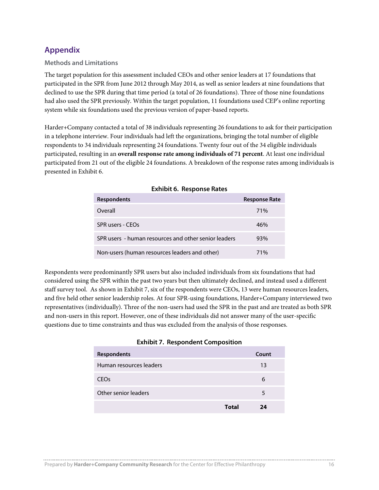## **Appendix**

#### **Methods and Limitations**

The target population for this assessment included CEOs and other senior leaders at 17 foundations that participated in the SPR from June 2012 through May 2014, as well as senior leaders at nine foundations that declined to use the SPR during that time period (a total of 26 foundations). Three of those nine foundations had also used the SPR previously. Within the target population, 11 foundations used CEP's online reporting system while six foundations used the previous version of paper-based reports.

Harder+Company contacted a total of 38 individuals representing 26 foundations to ask for their participation in a telephone interview. Four individuals had left the organizations, bringing the total number of eligible respondents to 34 individuals representing 24 foundations. Twenty four out of the 34 eligible individuals participated, resulting in an **overall response rate among individuals of 71 percent**. At least one individual participated from 21 out of the eligible 24 foundations. A breakdown of the response rates among individuals is presented in Exhibit 6.

| <b>Respondents</b>                                   | <b>Response Rate</b> |
|------------------------------------------------------|----------------------|
| Overall                                              | 71%                  |
| <b>SPR users - CFOs</b>                              | 46%                  |
| SPR users - human resources and other senior leaders | 93%                  |
| Non-users (human resources leaders and other)        | 71%                  |

|  | <b>Exhibit 6. Response Rates</b> |  |
|--|----------------------------------|--|
|--|----------------------------------|--|

Respondents were predominantly SPR users but also included individuals from six foundations that had considered using the SPR within the past two years but then ultimately declined, and instead used a different staff survey tool. As shown in Exhibit 7, six of the respondents were CEOs, 13 were human resources leaders, and five held other senior leadership roles. At four SPR-using foundations, Harder+Company interviewed two representatives (individually). Three of the non-users had used the SPR in the past and are treated as both SPR and non-users in this report. However, one of these individuals did not answer many of the user-specific questions due to time constraints and thus was excluded from the analysis of those responses.

|  | <b>Exhibit 7. Respondent Composition</b> |
|--|------------------------------------------|
|  |                                          |

| <b>Respondents</b>      |       | Count |
|-------------------------|-------|-------|
| Human resources leaders |       | 13    |
| <b>CEO<sub>s</sub></b>  |       | 6     |
| Other senior leaders    |       | 5     |
|                         | Total | 74    |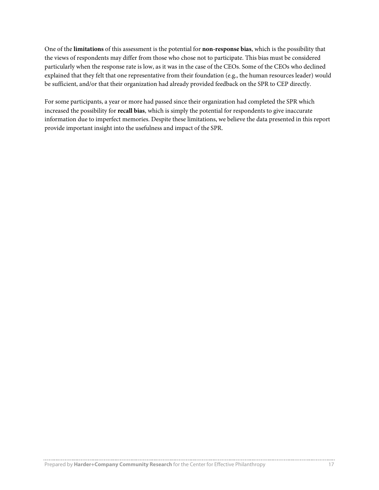One of the **limitations** of this assessment is the potential for **non-response bias**, which is the possibility that the views of respondents may differ from those who chose not to participate. This bias must be considered particularly when the response rate is low, as it was in the case of the CEOs. Some of the CEOs who declined explained that they felt that one representative from their foundation (e.g., the human resources leader) would be sufficient, and/or that their organization had already provided feedback on the SPR to CEP directly.

For some participants, a year or more had passed since their organization had completed the SPR which increased the possibility for **recall bias**, which is simply the potential for respondents to give inaccurate information due to imperfect memories. Despite these limitations, we believe the data presented in this report provide important insight into the usefulness and impact of the SPR.